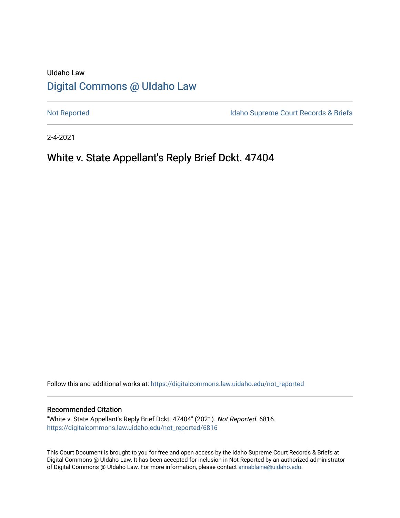# UIdaho Law [Digital Commons @ UIdaho Law](https://digitalcommons.law.uidaho.edu/)

[Not Reported](https://digitalcommons.law.uidaho.edu/not_reported) **Idaho Supreme Court Records & Briefs** 

2-4-2021

# White v. State Appellant's Reply Brief Dckt. 47404

Follow this and additional works at: [https://digitalcommons.law.uidaho.edu/not\\_reported](https://digitalcommons.law.uidaho.edu/not_reported?utm_source=digitalcommons.law.uidaho.edu%2Fnot_reported%2F6816&utm_medium=PDF&utm_campaign=PDFCoverPages) 

#### Recommended Citation

"White v. State Appellant's Reply Brief Dckt. 47404" (2021). Not Reported. 6816. [https://digitalcommons.law.uidaho.edu/not\\_reported/6816](https://digitalcommons.law.uidaho.edu/not_reported/6816?utm_source=digitalcommons.law.uidaho.edu%2Fnot_reported%2F6816&utm_medium=PDF&utm_campaign=PDFCoverPages)

This Court Document is brought to you for free and open access by the Idaho Supreme Court Records & Briefs at Digital Commons @ UIdaho Law. It has been accepted for inclusion in Not Reported by an authorized administrator of Digital Commons @ UIdaho Law. For more information, please contact [annablaine@uidaho.edu](mailto:annablaine@uidaho.edu).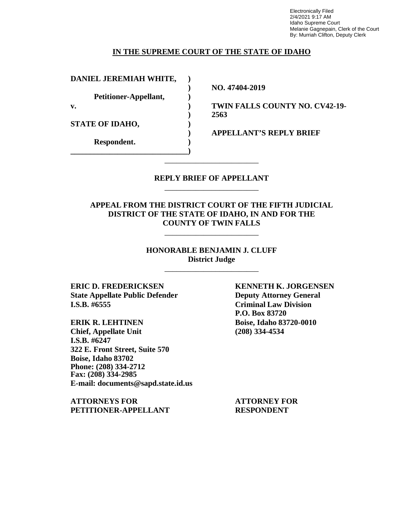Electronically Filed 2/4/2021 9:17 AM Idaho Supreme Court Melanie Gagnepain, Clerk of the Court By: Murriah Clifton, Deputy Clerk

### **IN THE SUPREME COURT OF THE STATE OF IDAHO**

**DANIEL JEREMIAH WHITE, )**

**Petitioner-Appellant, )**

**\_\_\_\_\_\_\_\_\_\_\_\_\_\_\_\_\_\_\_\_\_\_\_\_\_\_\_\_\_\_)**

**STATE OF IDAHO, )**

**Respondent. )**

**) NO. 47404-2019**

**v. ) TWIN FALLS COUNTY NO. CV42-19- ) 2563**

**) APPELLANT'S REPLY BRIEF**

### **REPLY BRIEF OF APPELLANT** \_\_\_\_\_\_\_\_\_\_\_\_\_\_\_\_\_\_\_\_\_\_\_\_

\_\_\_\_\_\_\_\_\_\_\_\_\_\_\_\_\_\_\_\_\_\_\_\_

## **APPEAL FROM THE DISTRICT COURT OF THE FIFTH JUDICIAL DISTRICT OF THE STATE OF IDAHO, IN AND FOR THE COUNTY OF TWIN FALLS**

\_\_\_\_\_\_\_\_\_\_\_\_\_\_\_\_\_\_\_\_\_\_\_\_

### **HONORABLE BENJAMIN J. CLUFF District Judge**

\_\_\_\_\_\_\_\_\_\_\_\_\_\_\_\_\_\_\_\_\_\_\_\_

**ERIC D. FREDERICKSEN KENNETH K. JORGENSEN State Appellate Public Defender Deputy Attorney General I.S.B. #6555 Criminal Law Division**

**ERIK R. LEHTINEN Boise, Idaho 83720-0010 Chief, Appellate Unit (208) 334-4534 I.S.B. #6247 322 E. Front Street, Suite 570 Boise, Idaho 83702 Phone: (208) 334-2712 Fax: (208) 334-2985 E-mail: documents@sapd.state.id.us**

**ATTORNEYS FOR ATTORNEY FOR PETITIONER-APPELLANT RESPONDENT**

**P.O. Box 83720**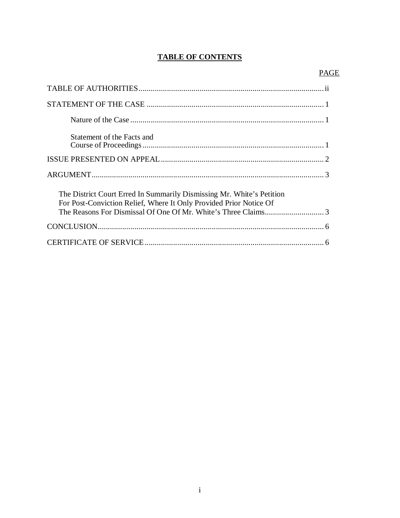# **TABLE OF CONTENTS**

| Statement of the Facts and                                                                                                                  |  |
|---------------------------------------------------------------------------------------------------------------------------------------------|--|
|                                                                                                                                             |  |
|                                                                                                                                             |  |
| The District Court Erred In Summarily Dismissing Mr. White's Petition<br>For Post-Conviction Relief, Where It Only Provided Prior Notice Of |  |
|                                                                                                                                             |  |
|                                                                                                                                             |  |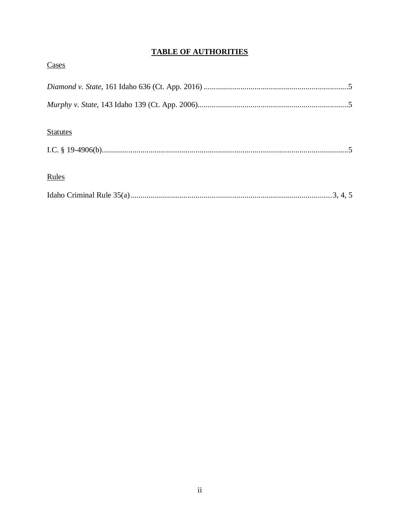# **TABLE OF AUTHORITIES**

| Cases           |  |
|-----------------|--|
|                 |  |
|                 |  |
| <b>Statutes</b> |  |
|                 |  |
| Rules           |  |
|                 |  |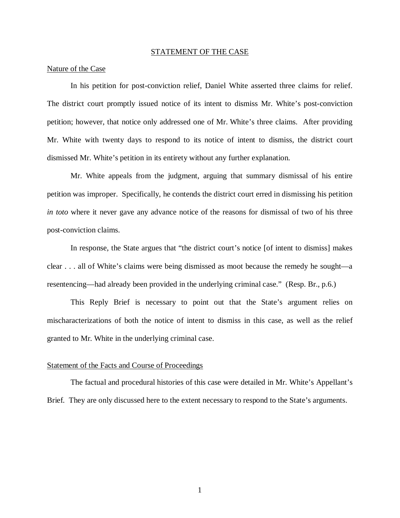#### STATEMENT OF THE CASE

#### Nature of the Case

In his petition for post-conviction relief, Daniel White asserted three claims for relief. The district court promptly issued notice of its intent to dismiss Mr. White's post-conviction petition; however, that notice only addressed one of Mr. White's three claims. After providing Mr. White with twenty days to respond to its notice of intent to dismiss, the district court dismissed Mr. White's petition in its entirety without any further explanation.

Mr. White appeals from the judgment, arguing that summary dismissal of his entire petition was improper. Specifically, he contends the district court erred in dismissing his petition *in toto* where it never gave any advance notice of the reasons for dismissal of two of his three post-conviction claims.

In response, the State argues that "the district court's notice [of intent to dismiss] makes clear . . . all of White's claims were being dismissed as moot because the remedy he sought—a resentencing—had already been provided in the underlying criminal case." (Resp. Br., p.6.)

This Reply Brief is necessary to point out that the State's argument relies on mischaracterizations of both the notice of intent to dismiss in this case, as well as the relief granted to Mr. White in the underlying criminal case.

### Statement of the Facts and Course of Proceedings

The factual and procedural histories of this case were detailed in Mr. White's Appellant's Brief. They are only discussed here to the extent necessary to respond to the State's arguments.

1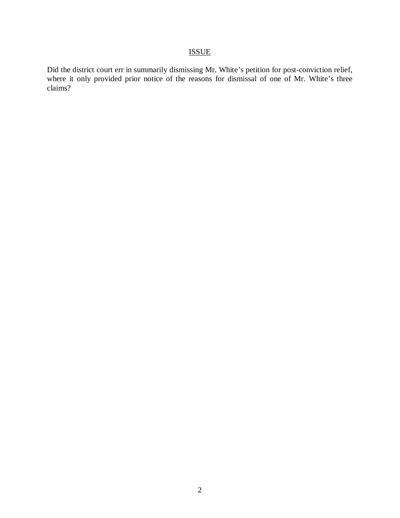# ISSUE

Did the district court err in summarily dismissing Mr. White's petition for post-conviction relief, where it only provided prior notice of the reasons for dismissal of one of Mr. White's three claims?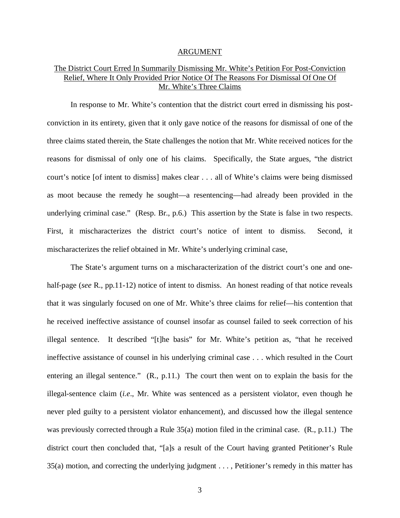#### ARGUMENT

## The District Court Erred In Summarily Dismissing Mr. White's Petition For Post-Conviction Relief, Where It Only Provided Prior Notice Of The Reasons For Dismissal Of One Of Mr. White's Three Claims

In response to Mr. White's contention that the district court erred in dismissing his postconviction in its entirety, given that it only gave notice of the reasons for dismissal of one of the three claims stated therein, the State challenges the notion that Mr. White received notices for the reasons for dismissal of only one of his claims. Specifically, the State argues, "the district court's notice [of intent to dismiss] makes clear . . . all of White's claims were being dismissed as moot because the remedy he sought—a resentencing—had already been provided in the underlying criminal case." (Resp. Br., p.6.) This assertion by the State is false in two respects. First, it mischaracterizes the district court's notice of intent to dismiss. Second, it mischaracterizes the relief obtained in Mr. White's underlying criminal case,

The State's argument turns on a mischaracterization of the district court's one and onehalf-page (*see* R., pp.11-12) notice of intent to dismiss. An honest reading of that notice reveals that it was singularly focused on one of Mr. White's three claims for relief—his contention that he received ineffective assistance of counsel insofar as counsel failed to seek correction of his illegal sentence. It described "[t]he basis" for Mr. White's petition as, "that he received ineffective assistance of counsel in his underlying criminal case . . . which resulted in the Court entering an illegal sentence." (R., p.11.) The court then went on to explain the basis for the illegal-sentence claim (*i.e*., Mr. White was sentenced as a persistent violator, even though he never pled guilty to a persistent violator enhancement), and discussed how the illegal sentence was previously corrected through a Rule 35(a) motion filed in the criminal case. (R., p.11.) The district court then concluded that, "[a]s a result of the Court having granted Petitioner's Rule 35(a) motion, and correcting the underlying judgment . . . , Petitioner's remedy in this matter has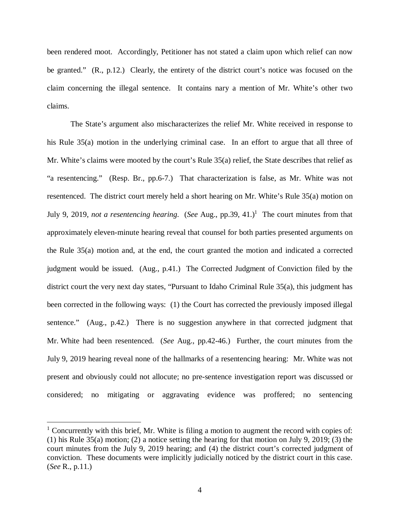been rendered moot. Accordingly, Petitioner has not stated a claim upon which relief can now be granted." (R., p.12.) Clearly, the entirety of the district court's notice was focused on the claim concerning the illegal sentence. It contains nary a mention of Mr. White's other two claims.

The State's argument also mischaracterizes the relief Mr. White received in response to his Rule 35(a) motion in the underlying criminal case. In an effort to argue that all three of Mr. White's claims were mooted by the court's Rule 35(a) relief, the State describes that relief as "a resentencing." (Resp. Br., pp.6-7.) That characterization is false, as Mr. White was not resentenced. The district court merely held a short hearing on Mr. White's Rule 35(a) motion on July 9, 20[1](#page-7-0)9, *not a resentencing hearing.* (*See* Aug., pp.39, 41.)<sup>1</sup> The court minutes from that approximately eleven-minute hearing reveal that counsel for both parties presented arguments on the Rule 35(a) motion and, at the end, the court granted the motion and indicated a corrected judgment would be issued. (Aug., p.41.) The Corrected Judgment of Conviction filed by the district court the very next day states, "Pursuant to Idaho Criminal Rule 35(a), this judgment has been corrected in the following ways: (1) the Court has corrected the previously imposed illegal sentence." (Aug., p.42.) There is no suggestion anywhere in that corrected judgment that Mr. White had been resentenced. (*See* Aug., pp.42-46.) Further, the court minutes from the July 9, 2019 hearing reveal none of the hallmarks of a resentencing hearing: Mr. White was not present and obviously could not allocute; no pre-sentence investigation report was discussed or considered; no mitigating or aggravating evidence was proffered; no sentencing

<span id="page-7-0"></span><sup>&</sup>lt;sup>1</sup> Concurrently with this brief, Mr. White is filing a motion to augment the record with copies of: (1) his Rule 35(a) motion; (2) a notice setting the hearing for that motion on July 9, 2019; (3) the court minutes from the July 9, 2019 hearing; and (4) the district court's corrected judgment of conviction. These documents were implicitly judicially noticed by the district court in this case. (*See* R., p.11.)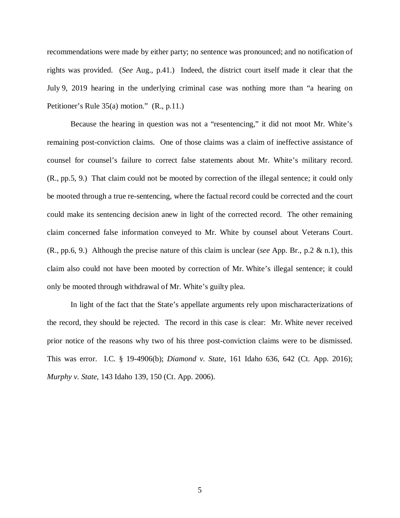recommendations were made by either party; no sentence was pronounced; and no notification of rights was provided. (*See* Aug., p.41.) Indeed, the district court itself made it clear that the July 9, 2019 hearing in the underlying criminal case was nothing more than "a hearing on Petitioner's Rule 35(a) motion." (R., p.11.)

Because the hearing in question was not a "resentencing," it did not moot Mr. White's remaining post-conviction claims. One of those claims was a claim of ineffective assistance of counsel for counsel's failure to correct false statements about Mr. White's military record. (R., pp.5, 9.) That claim could not be mooted by correction of the illegal sentence; it could only be mooted through a true re-sentencing, where the factual record could be corrected and the court could make its sentencing decision anew in light of the corrected record. The other remaining claim concerned false information conveyed to Mr. White by counsel about Veterans Court. (R., pp.6, 9.) Although the precise nature of this claim is unclear (*see* App. Br., p.2 & n.1), this claim also could not have been mooted by correction of Mr. White's illegal sentence; it could only be mooted through withdrawal of Mr. White's guilty plea.

In light of the fact that the State's appellate arguments rely upon mischaracterizations of the record, they should be rejected. The record in this case is clear: Mr. White never received prior notice of the reasons why two of his three post-conviction claims were to be dismissed. This was error. I.C. § 19-4906(b); *Diamond v. State*, 161 Idaho 636, 642 (Ct. App. 2016); *Murphy v. State*, 143 Idaho 139, 150 (Ct. App. 2006).